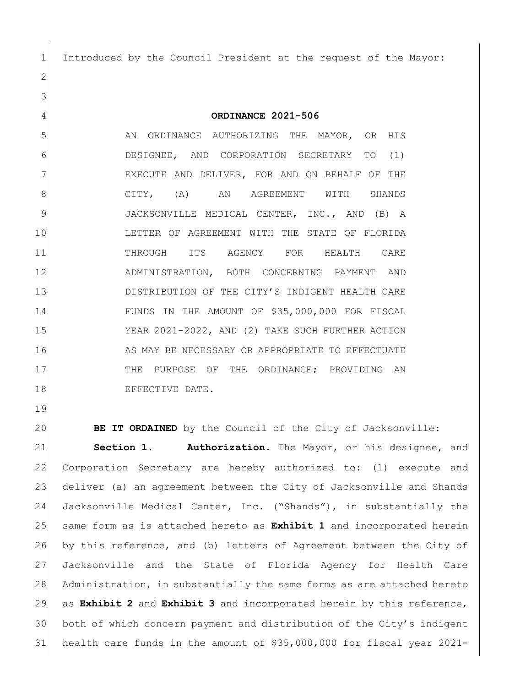Introduced by the Council President at the request of the Mayor:

**ORDINANCE 2021-506**

5 AN ORDINANCE AUTHORIZING THE MAYOR, OR HIS DESIGNEE, AND CORPORATION SECRETARY TO (1) 7 | EXECUTE AND DELIVER, FOR AND ON BEHALF OF THE 8 CITY, (A) AN AGREEMENT WITH SHANDS JACKSONVILLE MEDICAL CENTER, INC., AND (B) A LETTER OF AGREEMENT WITH THE STATE OF FLORIDA 11 THROUGH ITS AGENCY FOR HEALTH CARE ADMINISTRATION, BOTH CONCERNING PAYMENT AND DISTRIBUTION OF THE CITY'S INDIGENT HEALTH CARE FUNDS IN THE AMOUNT OF \$35,000,000 FOR FISCAL YEAR 2021-2022, AND (2) TAKE SUCH FURTHER ACTION 16 AS MAY BE NECESSARY OR APPROPRIATE TO EFFECTUATE 17 THE PURPOSE OF THE ORDINANCE; PROVIDING AN 18 BEFECTIVE DATE.

**BE IT ORDAINED** by the Council of the City of Jacksonville:

 **Section 1. Authorization.** The Mayor, or his designee, and Corporation Secretary are hereby authorized to: (1) execute and deliver (a) an agreement between the City of Jacksonville and Shands Jacksonville Medical Center, Inc. ("Shands"), in substantially the same form as is attached hereto as **Exhibit 1** and incorporated herein by this reference, and (b) letters of Agreement between the City of Jacksonville and the State of Florida Agency for Health Care Administration, in substantially the same forms as are attached hereto as **Exhibit 2** and **Exhibit 3** and incorporated herein by this reference, both of which concern payment and distribution of the City's indigent health care funds in the amount of \$35,000,000 for fiscal year 2021